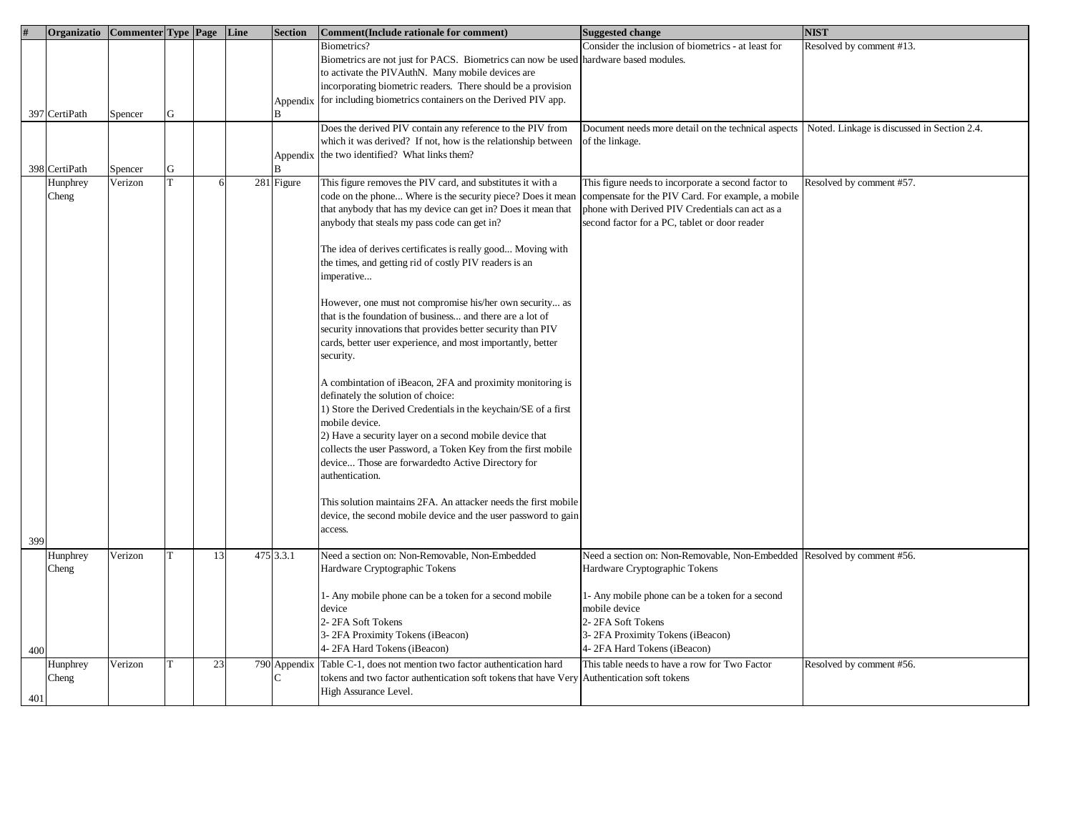|     | Organizatio       | Commenter Type Page |   |    | Line | <b>Section</b> | <b>Comment</b> (Include rationale for comment)                                                                                                                                                                                                                                                                                                                                                                                                                                                                                                                                                                                                                                                                                                                                                                                                                                                                                                                                                                                                                                                                                                                                                    | <b>Suggested change</b>                                                                                                                                                                                       | <b>NIST</b>              |
|-----|-------------------|---------------------|---|----|------|----------------|---------------------------------------------------------------------------------------------------------------------------------------------------------------------------------------------------------------------------------------------------------------------------------------------------------------------------------------------------------------------------------------------------------------------------------------------------------------------------------------------------------------------------------------------------------------------------------------------------------------------------------------------------------------------------------------------------------------------------------------------------------------------------------------------------------------------------------------------------------------------------------------------------------------------------------------------------------------------------------------------------------------------------------------------------------------------------------------------------------------------------------------------------------------------------------------------------|---------------------------------------------------------------------------------------------------------------------------------------------------------------------------------------------------------------|--------------------------|
|     |                   |                     |   |    |      |                | Biometrics?<br>Biometrics are not just for PACS. Biometrics can now be used<br>to activate the PIV AuthN. Many mobile devices are<br>incorporating biometric readers. There should be a provision                                                                                                                                                                                                                                                                                                                                                                                                                                                                                                                                                                                                                                                                                                                                                                                                                                                                                                                                                                                                 | Consider the inclusion of biometrics - at least for<br>hardware based modules.                                                                                                                                | Resolved by comment #13. |
|     | 397 CertiPath     | Spencer             | G |    |      | Appendix<br>B  | for including biometrics containers on the Derived PIV app.                                                                                                                                                                                                                                                                                                                                                                                                                                                                                                                                                                                                                                                                                                                                                                                                                                                                                                                                                                                                                                                                                                                                       |                                                                                                                                                                                                               |                          |
|     | 398 CertiPath     | Spencer             | G |    |      | Appendix       | Does the derived PIV contain any reference to the PIV from<br>which it was derived? If not, how is the relationship between<br>the two identified? What links them?                                                                                                                                                                                                                                                                                                                                                                                                                                                                                                                                                                                                                                                                                                                                                                                                                                                                                                                                                                                                                               | Document needs more detail on the technical aspects   Noted. Linkage is discussed in Section 2.4.<br>of the linkage.                                                                                          |                          |
| 399 | Hunphrey<br>Cheng | Verizon             |   | 6  |      | 281 Figure     | This figure removes the PIV card, and substitutes it with a<br>code on the phone Where is the security piece? Does it mean<br>that anybody that has my device can get in? Does it mean that<br>anybody that steals my pass code can get in?<br>The idea of derives certificates is really good Moving with<br>the times, and getting rid of costly PIV readers is an<br>mperative<br>However, one must not compromise his/her own security as<br>that is the foundation of business and there are a lot of<br>security innovations that provides better security than PIV<br>cards, better user experience, and most importantly, better<br>security.<br>A combintation of iBeacon, 2FA and proximity monitoring is<br>definately the solution of choice:<br>1) Store the Derived Credentials in the keychain/SE of a first<br>mobile device.<br>2) Have a security layer on a second mobile device that<br>collects the user Password, a Token Key from the first mobile<br>device Those are forwardedto Active Directory for<br>authentication.<br>This solution maintains 2FA. An attacker needs the first mobile<br>device, the second mobile device and the user password to gain<br>access. | This figure needs to incorporate a second factor to<br>compensate for the PIV Card. For example, a mobile<br>phone with Derived PIV Credentials can act as a<br>second factor for a PC, tablet or door reader | Resolved by comment #57. |
|     | Hunphrey<br>Cheng | Verizon             |   | 13 |      | 475 3.3.1      | Need a section on: Non-Removable, Non-Embedded<br>Hardware Cryptographic Tokens<br>1- Any mobile phone can be a token for a second mobile<br>device                                                                                                                                                                                                                                                                                                                                                                                                                                                                                                                                                                                                                                                                                                                                                                                                                                                                                                                                                                                                                                               | Need a section on: Non-Removable, Non-Embedded Resolved by comment #56.<br>Hardware Cryptographic Tokens<br>1- Any mobile phone can be a token for a second<br>mobile device                                  |                          |
| 400 |                   |                     |   |    |      |                | 2-2FA Soft Tokens<br>3-2FA Proximity Tokens (iBeacon)<br>4-2FA Hard Tokens (iBeacon)                                                                                                                                                                                                                                                                                                                                                                                                                                                                                                                                                                                                                                                                                                                                                                                                                                                                                                                                                                                                                                                                                                              | 2-2FA Soft Tokens<br>3-2FA Proximity Tokens (iBeacon)<br>4-2FA Hard Tokens (iBeacon)                                                                                                                          |                          |
| 401 | Hunphrey<br>Cheng | Verizon             | T | 23 |      | 790 Appendix   | Table C-1, does not mention two factor authentication hard<br>okens and two factor authentication soft tokens that have Very Authentication soft tokens<br>High Assurance Level.                                                                                                                                                                                                                                                                                                                                                                                                                                                                                                                                                                                                                                                                                                                                                                                                                                                                                                                                                                                                                  | This table needs to have a row for Two Factor                                                                                                                                                                 | Resolved by comment #56. |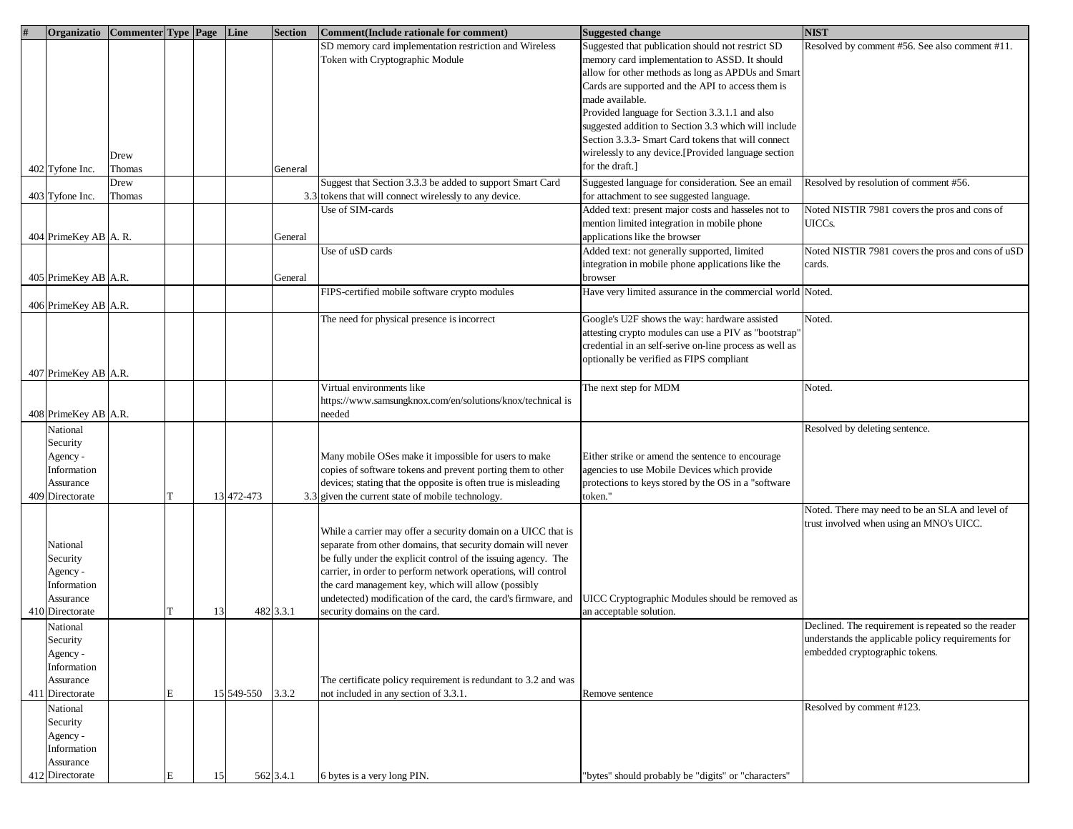| Organizatio             | Commenter Type Page Line |   |    |            | <b>Section</b> | <b>Comment</b> (Include rationale for comment)                 | Suggested change                                           | <b>NIST</b>                                         |
|-------------------------|--------------------------|---|----|------------|----------------|----------------------------------------------------------------|------------------------------------------------------------|-----------------------------------------------------|
|                         |                          |   |    |            |                | SD memory card implementation restriction and Wireless         | Suggested that publication should not restrict SD          | Resolved by comment #56. See also comment #11.      |
|                         |                          |   |    |            |                | Token with Cryptographic Module                                | memory card implementation to ASSD. It should              |                                                     |
|                         |                          |   |    |            |                |                                                                | allow for other methods as long as APDUs and Smart         |                                                     |
|                         |                          |   |    |            |                |                                                                | Cards are supported and the API to access them is          |                                                     |
|                         |                          |   |    |            |                |                                                                | made available.                                            |                                                     |
|                         |                          |   |    |            |                |                                                                | Provided language for Section 3.3.1.1 and also             |                                                     |
|                         |                          |   |    |            |                |                                                                | suggested addition to Section 3.3 which will include       |                                                     |
|                         |                          |   |    |            |                |                                                                | Section 3.3.3- Smart Card tokens that will connect         |                                                     |
|                         |                          |   |    |            |                |                                                                | wirelessly to any device.[Provided language section        |                                                     |
|                         | Drew                     |   |    |            |                |                                                                | for the draft.]                                            |                                                     |
| 402 Tyfone Inc.         | Thomas                   |   |    |            | General        |                                                                |                                                            |                                                     |
|                         | Drew                     |   |    |            |                | Suggest that Section 3.3.3 be added to support Smart Card      | Suggested language for consideration. See an email         | Resolved by resolution of comment #56.              |
| 403 Tyfone Inc.         | Thomas                   |   |    |            |                | 3.3 tokens that will connect wirelessly to any device.         | for attachment to see suggested language.                  |                                                     |
|                         |                          |   |    |            |                | Use of SIM-cards                                               | Added text: present major costs and hasseles not to        | Noted NISTIR 7981 covers the pros and cons of       |
|                         |                          |   |    |            |                |                                                                | mention limited integration in mobile phone                | UICCs.                                              |
| 404 PrimeKey AB A. R.   |                          |   |    |            | General        |                                                                | applications like the browser                              |                                                     |
|                         |                          |   |    |            |                | Use of uSD cards                                               | Added text: not generally supported, limited               | Noted NISTIR 7981 covers the pros and cons of uSD   |
|                         |                          |   |    |            |                |                                                                | integration in mobile phone applications like the          | cards.                                              |
| 405 PrimeKey AB A.R.    |                          |   |    |            | General        |                                                                | browser                                                    |                                                     |
|                         |                          |   |    |            |                | FIPS-certified mobile software crypto modules                  | Have very limited assurance in the commercial world Noted. |                                                     |
| 406 PrimeKey AB A.R.    |                          |   |    |            |                |                                                                |                                                            |                                                     |
|                         |                          |   |    |            |                | The need for physical presence is incorrect                    | Google's U2F shows the way: hardware assisted              | Noted.                                              |
|                         |                          |   |    |            |                |                                                                | attesting crypto modules can use a PIV as "bootstrap"      |                                                     |
|                         |                          |   |    |            |                |                                                                | credential in an self-serive on-line process as well as    |                                                     |
|                         |                          |   |    |            |                |                                                                | optionally be verified as FIPS compliant                   |                                                     |
| 407 PrimeKey AB A.R.    |                          |   |    |            |                |                                                                |                                                            |                                                     |
|                         |                          |   |    |            |                | Virtual environments like                                      | The next step for MDM                                      | Noted.                                              |
|                         |                          |   |    |            |                | https://www.samsungknox.com/en/solutions/knox/technical is     |                                                            |                                                     |
| 408 PrimeKey AB A.R.    |                          |   |    |            |                | needed                                                         |                                                            |                                                     |
| National                |                          |   |    |            |                |                                                                |                                                            | Resolved by deleting sentence.                      |
| Security                |                          |   |    |            |                |                                                                |                                                            |                                                     |
|                         |                          |   |    |            |                | Many mobile OSes make it impossible for users to make          | Either strike or amend the sentence to encourage           |                                                     |
| Agency -<br>Information |                          |   |    |            |                | copies of software tokens and prevent porting them to other    | agencies to use Mobile Devices which provide               |                                                     |
| Assurance               |                          |   |    |            |                | devices; stating that the opposite is often true is misleading | protections to keys stored by the OS in a "software        |                                                     |
| 409 Directorate         |                          |   |    | 13 472-473 |                | 3.3 given the current state of mobile technology.              | token."                                                    |                                                     |
|                         |                          |   |    |            |                |                                                                |                                                            | Noted. There may need to be an SLA and level of     |
|                         |                          |   |    |            |                |                                                                |                                                            |                                                     |
|                         |                          |   |    |            |                | While a carrier may offer a security domain on a UICC that is  |                                                            | trust involved when using an MNO's UICC.            |
| National                |                          |   |    |            |                | separate from other domains, that security domain will never   |                                                            |                                                     |
| Security                |                          |   |    |            |                | be fully under the explicit control of the issuing agency. The |                                                            |                                                     |
| Agency -                |                          |   |    |            |                | carrier, in order to perform network operations, will control  |                                                            |                                                     |
| Information             |                          |   |    |            |                | the card management key, which will allow (possibly            |                                                            |                                                     |
| Assurance               |                          |   |    |            |                | undetected) modification of the card, the card's firmware, and | UICC Cryptographic Modules should be removed as            |                                                     |
| 410 Directorate         |                          |   | 13 |            | 482 3.3.1      | security domains on the card.                                  | an acceptable solution.                                    |                                                     |
| National                |                          |   |    |            |                |                                                                |                                                            | Declined. The requirement is repeated so the reader |
| Security                |                          |   |    |            |                |                                                                |                                                            | understands the applicable policy requirements for  |
| Agency -                |                          |   |    |            |                |                                                                |                                                            | embedded cryptographic tokens.                      |
| Information             |                          |   |    |            |                |                                                                |                                                            |                                                     |
| Assurance               |                          |   |    |            |                | The certificate policy requirement is redundant to 3.2 and was |                                                            |                                                     |
| 411 Directorate         |                          | E |    | 15 549-550 | 3.3.2          | not included in any section of 3.3.1.                          | Remove sentence                                            |                                                     |
|                         |                          |   |    |            |                |                                                                |                                                            | Resolved by comment #123.                           |
| National                |                          |   |    |            |                |                                                                |                                                            |                                                     |
| Security                |                          |   |    |            |                |                                                                |                                                            |                                                     |
| Agency -                |                          |   |    |            |                |                                                                |                                                            |                                                     |
| Information             |                          |   |    |            |                |                                                                |                                                            |                                                     |
| Assurance               |                          |   |    |            |                |                                                                |                                                            |                                                     |
| 412 Directorate         |                          |   | 15 |            | 562 3.4.1      | 6 bytes is a very long PIN.                                    | "bytes" should probably be "digits" or "characters"        |                                                     |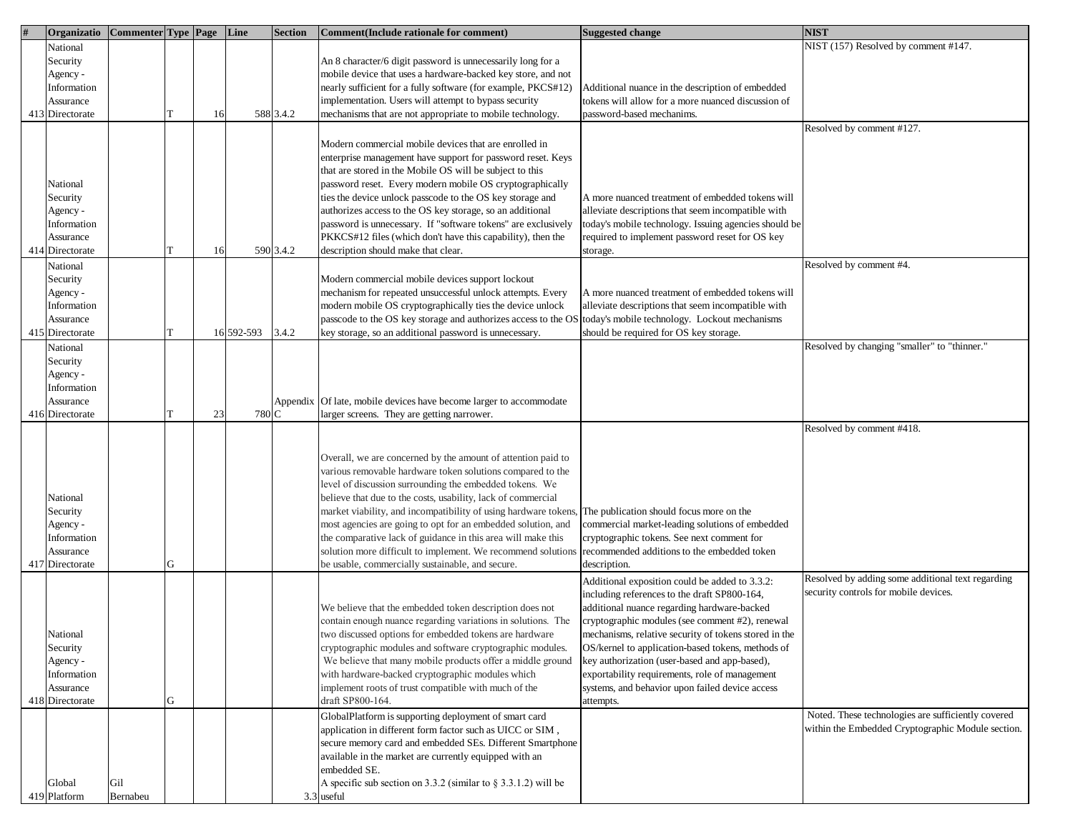| Organizatio     | Commenter Type Page Line |   |    |            | <b>Section</b> | Comment (Include rationale for comment)                            | <b>Suggested change</b>                               | <b>NIST</b>                                        |
|-----------------|--------------------------|---|----|------------|----------------|--------------------------------------------------------------------|-------------------------------------------------------|----------------------------------------------------|
| National        |                          |   |    |            |                |                                                                    |                                                       | NIST (157) Resolved by comment #147.               |
| Security        |                          |   |    |            |                | An 8 character/6 digit password is unnecessarily long for a        |                                                       |                                                    |
| Agency -        |                          |   |    |            |                | mobile device that uses a hardware-backed key store, and not       |                                                       |                                                    |
| Information     |                          |   |    |            |                | nearly sufficient for a fully software (for example, PKCS#12)      | Additional nuance in the description of embedded      |                                                    |
| Assurance       |                          |   |    |            |                | mplementation. Users will attempt to bypass security               | tokens will allow for a more nuanced discussion of    |                                                    |
|                 |                          |   |    |            |                |                                                                    |                                                       |                                                    |
| 413 Directorate |                          |   | 16 |            | 588 3.4.2      | nechanisms that are not appropriate to mobile technology.          | password-based mechanims.                             |                                                    |
|                 |                          |   |    |            |                |                                                                    |                                                       | Resolved by comment #127.                          |
|                 |                          |   |    |            |                | Modern commercial mobile devices that are enrolled in              |                                                       |                                                    |
|                 |                          |   |    |            |                | enterprise management have support for password reset. Keys        |                                                       |                                                    |
|                 |                          |   |    |            |                | that are stored in the Mobile OS will be subject to this           |                                                       |                                                    |
| National        |                          |   |    |            |                | password reset. Every modern mobile OS cryptographically           |                                                       |                                                    |
| Security        |                          |   |    |            |                | ties the device unlock passcode to the OS key storage and          | A more nuanced treatment of embedded tokens will      |                                                    |
| Agency -        |                          |   |    |            |                | authorizes access to the OS key storage, so an additional          | alleviate descriptions that seem incompatible with    |                                                    |
| Information     |                          |   |    |            |                | password is unnecessary. If "software tokens" are exclusively      | today's mobile technology. Issuing agencies should be |                                                    |
| Assurance       |                          |   |    |            |                | PKKCS#12 files (which don't have this capability), then the        | required to implement password reset for OS key       |                                                    |
| 414 Directorate |                          |   | 16 |            | 590 3.4.2      | description should make that clear.                                | storage.                                              |                                                    |
|                 |                          |   |    |            |                |                                                                    |                                                       | Resolved by comment #4.                            |
| National        |                          |   |    |            |                |                                                                    |                                                       |                                                    |
| Security        |                          |   |    |            |                | Modern commercial mobile devices support lockout                   |                                                       |                                                    |
| Agency -        |                          |   |    |            |                | mechanism for repeated unsuccessful unlock attempts. Every         | A more nuanced treatment of embedded tokens will      |                                                    |
| Information     |                          |   |    |            |                | modern mobile OS cryptographically ties the device unlock          | alleviate descriptions that seem incompatible with    |                                                    |
| Assurance       |                          |   |    |            |                | passcode to the OS key storage and authorizes access to the OS     | today's mobile technology. Lockout mechanisms         |                                                    |
| 415 Directorate |                          |   |    | 16 592-593 | 3.4.2          | key storage, so an additional password is unnecessary.             | should be required for OS key storage.                |                                                    |
| National        |                          |   |    |            |                |                                                                    |                                                       | Resolved by changing "smaller" to "thinner."       |
| Security        |                          |   |    |            |                |                                                                    |                                                       |                                                    |
| Agency -        |                          |   |    |            |                |                                                                    |                                                       |                                                    |
| Information     |                          |   |    |            |                |                                                                    |                                                       |                                                    |
| Assurance       |                          |   |    |            |                | Appendix Of late, mobile devices have become larger to accommodate |                                                       |                                                    |
| 416 Directorate |                          |   | 23 | 780 C      |                | larger screens. They are getting narrower.                         |                                                       |                                                    |
|                 |                          |   |    |            |                |                                                                    |                                                       | Resolved by comment #418.                          |
|                 |                          |   |    |            |                |                                                                    |                                                       |                                                    |
|                 |                          |   |    |            |                |                                                                    |                                                       |                                                    |
|                 |                          |   |    |            |                | Overall, we are concerned by the amount of attention paid to       |                                                       |                                                    |
|                 |                          |   |    |            |                | various removable hardware token solutions compared to the         |                                                       |                                                    |
|                 |                          |   |    |            |                | level of discussion surrounding the embedded tokens. We            |                                                       |                                                    |
| National        |                          |   |    |            |                | believe that due to the costs, usability, lack of commercial       |                                                       |                                                    |
| Security        |                          |   |    |            |                | market viability, and incompatibility of using hardware tokens,    | The publication should focus more on the              |                                                    |
| Agency -        |                          |   |    |            |                | most agencies are going to opt for an embedded solution, and       | commercial market-leading solutions of embedded       |                                                    |
| Information     |                          |   |    |            |                | the comparative lack of guidance in this area will make this       | cryptographic tokens. See next comment for            |                                                    |
| Assurance       |                          |   |    |            |                | solution more difficult to implement. We recommend solutions       | recommended additions to the embedded token           |                                                    |
| 417 Directorate |                          | G |    |            |                | be usable, commercially sustainable, and secure.                   | description.                                          |                                                    |
|                 |                          |   |    |            |                |                                                                    | Additional exposition could be added to 3.3.2:        | Resolved by adding some additional text regarding  |
|                 |                          |   |    |            |                |                                                                    | including references to the draft SP800-164,          | security controls for mobile devices.              |
|                 |                          |   |    |            |                | We believe that the embedded token description does not            | additional nuance regarding hardware-backed           |                                                    |
|                 |                          |   |    |            |                | contain enough nuance regarding variations in solutions. The       | cryptographic modules (see comment #2), renewal       |                                                    |
| National        |                          |   |    |            |                | two discussed options for embedded tokens are hardware             | mechanisms, relative security of tokens stored in the |                                                    |
| Security        |                          |   |    |            |                | cryptographic modules and software cryptographic modules.          | OS/kernel to application-based tokens, methods of     |                                                    |
| Agency -        |                          |   |    |            |                | We believe that many mobile products offer a middle ground         | key authorization (user-based and app-based),         |                                                    |
| Information     |                          |   |    |            |                | with hardware-backed cryptographic modules which                   | exportability requirements, role of management        |                                                    |
| Assurance       |                          |   |    |            |                | implement roots of trust compatible with much of the               | systems, and behavior upon failed device access       |                                                    |
| 418 Directorate |                          | G |    |            |                | draft SP800-164.                                                   | attempts.                                             |                                                    |
|                 |                          |   |    |            |                |                                                                    |                                                       | Noted. These technologies are sufficiently covered |
|                 |                          |   |    |            |                | GlobalPlatform is supporting deployment of smart card              |                                                       | within the Embedded Cryptographic Module section.  |
|                 |                          |   |    |            |                | application in different form factor such as UICC or SIM,          |                                                       |                                                    |
|                 |                          |   |    |            |                | secure memory card and embedded SEs. Different Smartphone          |                                                       |                                                    |
|                 |                          |   |    |            |                | available in the market are currently equipped with an             |                                                       |                                                    |
|                 |                          |   |    |            |                | embedded SE.                                                       |                                                       |                                                    |
| Global          | Gil                      |   |    |            |                | A specific sub section on 3.3.2 (similar to $\S$ 3.3.1.2) will be  |                                                       |                                                    |
| 419 Platform    | Bernabeu                 |   |    |            |                | 3.3 useful                                                         |                                                       |                                                    |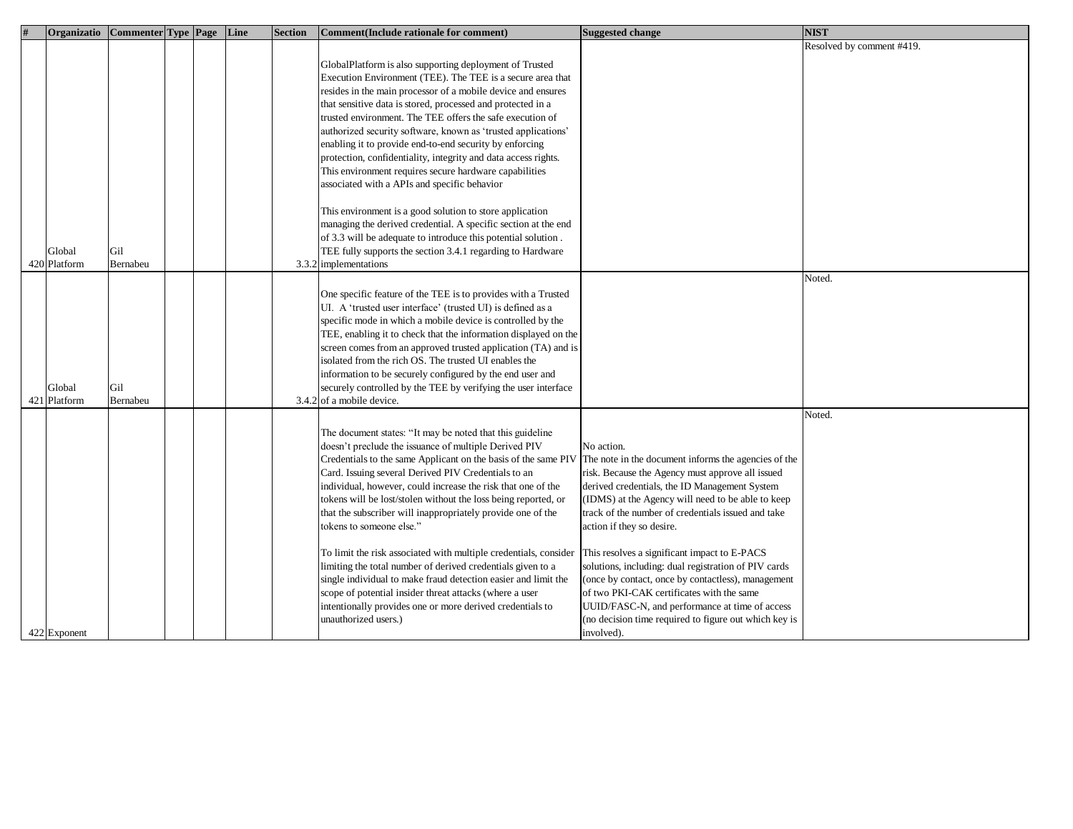| Organizatio   Commenter   Type   Page   Line |          |  | Section | Comment (Include rationale for comment)                          | <b>Suggested change</b>                               | <b>NIST</b>               |
|----------------------------------------------|----------|--|---------|------------------------------------------------------------------|-------------------------------------------------------|---------------------------|
|                                              |          |  |         |                                                                  |                                                       | Resolved by comment #419. |
|                                              |          |  |         | GlobalPlatform is also supporting deployment of Trusted          |                                                       |                           |
|                                              |          |  |         | Execution Environment (TEE). The TEE is a secure area that       |                                                       |                           |
|                                              |          |  |         |                                                                  |                                                       |                           |
|                                              |          |  |         | resides in the main processor of a mobile device and ensures     |                                                       |                           |
|                                              |          |  |         | that sensitive data is stored, processed and protected in a      |                                                       |                           |
|                                              |          |  |         | trusted environment. The TEE offers the safe execution of        |                                                       |                           |
|                                              |          |  |         | authorized security software, known as 'trusted applications'    |                                                       |                           |
|                                              |          |  |         | enabling it to provide end-to-end security by enforcing          |                                                       |                           |
|                                              |          |  |         | protection, confidentiality, integrity and data access rights.   |                                                       |                           |
|                                              |          |  |         | This environment requires secure hardware capabilities           |                                                       |                           |
|                                              |          |  |         | associated with a APIs and specific behavior                     |                                                       |                           |
|                                              |          |  |         |                                                                  |                                                       |                           |
|                                              |          |  |         | This environment is a good solution to store application         |                                                       |                           |
|                                              |          |  |         | managing the derived credential. A specific section at the end   |                                                       |                           |
|                                              |          |  |         | of 3.3 will be adequate to introduce this potential solution.    |                                                       |                           |
| Global                                       | Gil      |  |         | TEE fully supports the section 3.4.1 regarding to Hardware       |                                                       |                           |
| 420 Platform                                 | Bernabeu |  |         | 3.3.2 implementations                                            |                                                       |                           |
|                                              |          |  |         |                                                                  |                                                       | Noted.                    |
|                                              |          |  |         |                                                                  |                                                       |                           |
|                                              |          |  |         | One specific feature of the TEE is to provides with a Trusted    |                                                       |                           |
|                                              |          |  |         | UI. A 'trusted user interface' (trusted UI) is defined as a      |                                                       |                           |
|                                              |          |  |         | specific mode in which a mobile device is controlled by the      |                                                       |                           |
|                                              |          |  |         | TEE, enabling it to check that the information displayed on the  |                                                       |                           |
|                                              |          |  |         | screen comes from an approved trusted application (TA) and is    |                                                       |                           |
|                                              |          |  |         | isolated from the rich OS. The trusted UI enables the            |                                                       |                           |
|                                              |          |  |         | information to be securely configured by the end user and        |                                                       |                           |
| Global                                       | Gil      |  |         | securely controlled by the TEE by verifying the user interface   |                                                       |                           |
| 421 Platform                                 | Bernabeu |  |         | 3.4.2 of a mobile device.                                        |                                                       |                           |
|                                              |          |  |         |                                                                  |                                                       | Noted.                    |
|                                              |          |  |         |                                                                  |                                                       |                           |
|                                              |          |  |         | The document states: "It may be noted that this guideline        |                                                       |                           |
|                                              |          |  |         | doesn't preclude the issuance of multiple Derived PIV            | No action.                                            |                           |
|                                              |          |  |         | Credentials to the same Applicant on the basis of the same PIV   | The note in the document informs the agencies of the  |                           |
|                                              |          |  |         | Card. Issuing several Derived PIV Credentials to an              | risk. Because the Agency must approve all issued      |                           |
|                                              |          |  |         | ndividual, however, could increase the risk that one of the      | derived credentials, the ID Management System         |                           |
|                                              |          |  |         | tokens will be lost/stolen without the loss being reported, or   | (IDMS) at the Agency will need to be able to keep     |                           |
|                                              |          |  |         | that the subscriber will inappropriately provide one of the      | track of the number of credentials issued and take    |                           |
|                                              |          |  |         | tokens to someone else."                                         | action if they so desire.                             |                           |
|                                              |          |  |         |                                                                  |                                                       |                           |
|                                              |          |  |         | To limit the risk associated with multiple credentials, consider | This resolves a significant impact to E-PACS          |                           |
|                                              |          |  |         | limiting the total number of derived credentials given to a      | solutions, including: dual registration of PIV cards  |                           |
|                                              |          |  |         | single individual to make fraud detection easier and limit the   | (once by contact, once by contactless), management    |                           |
|                                              |          |  |         | scope of potential insider threat attacks (where a user          | of two PKI-CAK certificates with the same             |                           |
|                                              |          |  |         | intentionally provides one or more derived credentials to        | UUID/FASC-N, and performance at time of access        |                           |
|                                              |          |  |         | unauthorized users.)                                             | (no decision time required to figure out which key is |                           |
|                                              |          |  |         |                                                                  |                                                       |                           |
| 422 Exponent                                 |          |  |         |                                                                  | involved).                                            |                           |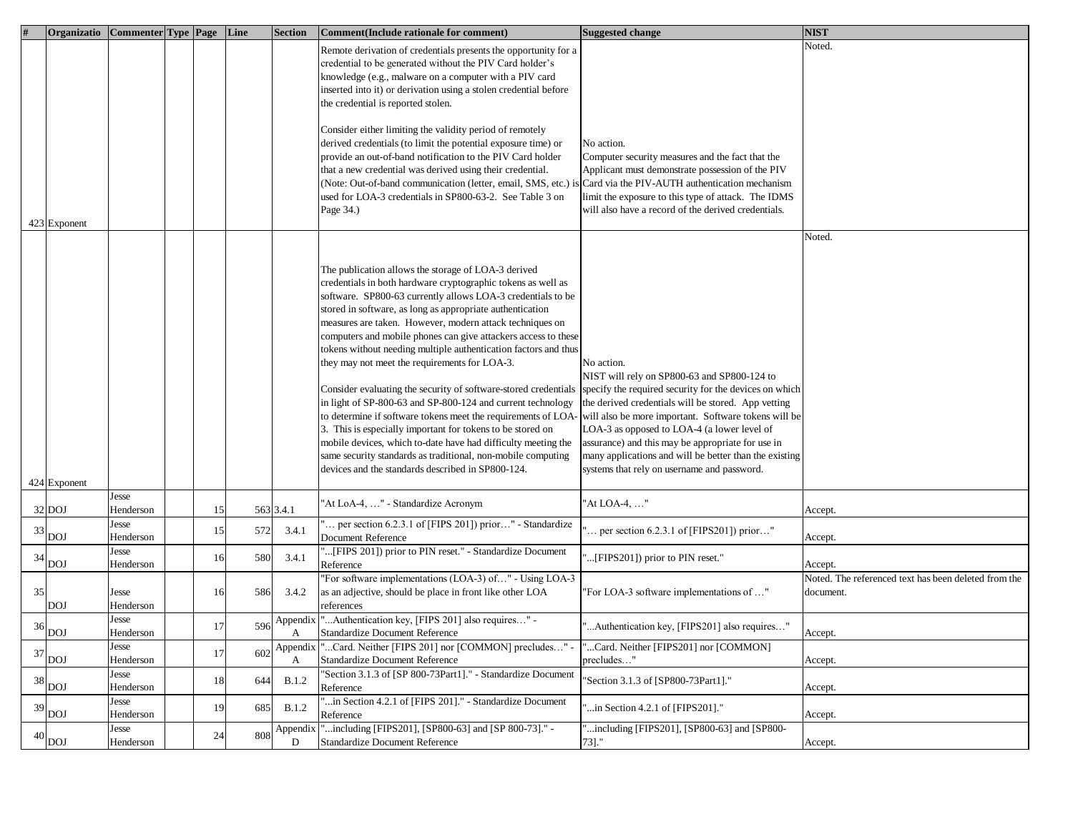|    | Organizatio   Commenter   Type   Page   Line |                    |    |     | <b>Section</b> | Comment(Include rationale for comment)                                                                                      | <b>Suggested change</b>                                                                          | <b>NIST</b>                                                     |
|----|----------------------------------------------|--------------------|----|-----|----------------|-----------------------------------------------------------------------------------------------------------------------------|--------------------------------------------------------------------------------------------------|-----------------------------------------------------------------|
|    |                                              |                    |    |     |                | Remote derivation of credentials presents the opportunity for a                                                             |                                                                                                  | Noted.                                                          |
|    |                                              |                    |    |     |                | credential to be generated without the PIV Card holder's                                                                    |                                                                                                  |                                                                 |
|    |                                              |                    |    |     |                | knowledge (e.g., malware on a computer with a PIV card                                                                      |                                                                                                  |                                                                 |
|    |                                              |                    |    |     |                | inserted into it) or derivation using a stolen credential before                                                            |                                                                                                  |                                                                 |
|    |                                              |                    |    |     |                | the credential is reported stolen.                                                                                          |                                                                                                  |                                                                 |
|    |                                              |                    |    |     |                | Consider either limiting the validity period of remotely                                                                    |                                                                                                  |                                                                 |
|    |                                              |                    |    |     |                | derived credentials (to limit the potential exposure time) or                                                               | No action.                                                                                       |                                                                 |
|    |                                              |                    |    |     |                | provide an out-of-band notification to the PIV Card holder                                                                  | Computer security measures and the fact that the                                                 |                                                                 |
|    |                                              |                    |    |     |                | that a new credential was derived using their credential.                                                                   | Applicant must demonstrate possession of the PIV                                                 |                                                                 |
|    |                                              |                    |    |     |                | Note: Out-of-band communication (letter, email, SMS, etc.) is                                                               | Card via the PIV-AUTH authentication mechanism                                                   |                                                                 |
|    |                                              |                    |    |     |                | used for LOA-3 credentials in SP800-63-2. See Table 3 on                                                                    | limit the exposure to this type of attack. The IDMS                                              |                                                                 |
|    |                                              |                    |    |     |                | Page 34.)                                                                                                                   | will also have a record of the derived credentials.                                              |                                                                 |
|    | 423 Exponent                                 |                    |    |     |                |                                                                                                                             |                                                                                                  | Noted.                                                          |
|    |                                              |                    |    |     |                |                                                                                                                             |                                                                                                  |                                                                 |
|    |                                              |                    |    |     |                | The publication allows the storage of LOA-3 derived                                                                         |                                                                                                  |                                                                 |
|    |                                              |                    |    |     |                | credentials in both hardware cryptographic tokens as well as                                                                |                                                                                                  |                                                                 |
|    |                                              |                    |    |     |                | software. SP800-63 currently allows LOA-3 credentials to be                                                                 |                                                                                                  |                                                                 |
|    |                                              |                    |    |     |                | stored in software, as long as appropriate authentication                                                                   |                                                                                                  |                                                                 |
|    |                                              |                    |    |     |                | measures are taken. However, modern attack techniques on                                                                    |                                                                                                  |                                                                 |
|    |                                              |                    |    |     |                | computers and mobile phones can give attackers access to these                                                              |                                                                                                  |                                                                 |
|    |                                              |                    |    |     |                | tokens without needing multiple authentication factors and thus                                                             |                                                                                                  |                                                                 |
|    |                                              |                    |    |     |                | they may not meet the requirements for LOA-3.                                                                               | No action.                                                                                       |                                                                 |
|    |                                              |                    |    |     |                |                                                                                                                             | NIST will rely on SP800-63 and SP800-124 to                                                      |                                                                 |
|    |                                              |                    |    |     |                | Consider evaluating the security of software-stored credentials                                                             | specify the required security for the devices on which                                           |                                                                 |
|    |                                              |                    |    |     |                | in light of SP-800-63 and SP-800-124 and current technology                                                                 | the derived credentials will be stored. App vetting                                              |                                                                 |
|    |                                              |                    |    |     |                | o determine if software tokens meet the requirements of LOA-                                                                | will also be more important. Software tokens will be                                             |                                                                 |
|    |                                              |                    |    |     |                | 3. This is especially important for tokens to be stored on<br>mobile devices, which to-date have had difficulty meeting the | LOA-3 as opposed to LOA-4 (a lower level of<br>assurance) and this may be appropriate for use in |                                                                 |
|    |                                              |                    |    |     |                | same security standards as traditional, non-mobile computing                                                                | many applications and will be better than the existing                                           |                                                                 |
|    |                                              |                    |    |     |                | devices and the standards described in SP800-124.                                                                           | systems that rely on username and password.                                                      |                                                                 |
|    | 424 Exponent                                 |                    |    |     |                |                                                                                                                             |                                                                                                  |                                                                 |
|    |                                              | Jesse              |    |     |                | "At LoA-4, " - Standardize Acronym                                                                                          | "At LOA-4, "                                                                                     |                                                                 |
|    | 32 DOJ                                       | Henderson<br>Jesse | 15 |     | 563 3.4.1      | per section $6.2.3.1$ of [FIPS 201]) prior" - Standardize                                                                   |                                                                                                  | Accept.                                                         |
| 33 | DOJ                                          | Henderson          | 15 | 572 | 3.4.1          | Document Reference                                                                                                          | per section 6.2.3.1 of [FIPS201]) prior"                                                         | Accept.                                                         |
| 34 |                                              | Jesse              | 16 | 580 | 3.4.1          | [FIPS 201]) prior to PIN reset." - Standardize Document                                                                     | [FIPS201]) prior to PIN reset."                                                                  |                                                                 |
|    | <b>DOJ</b>                                   | Henderson          |    |     |                | Reference                                                                                                                   |                                                                                                  | Accept.<br>Noted. The referenced text has been deleted from the |
| 35 |                                              | Jesse              | 16 | 586 | 3.4.2          | 'For software implementations (LOA-3) of" - Using LOA-3<br>as an adjective, should be place in front like other LOA         | "For LOA-3 software implementations of "                                                         | document.                                                       |
|    | DOJ                                          | Henderson          |    |     |                | references                                                                                                                  |                                                                                                  |                                                                 |
|    |                                              | Jesse              |    |     | Appendix       | "Authentication key, [FIPS 201] also requires" -                                                                            |                                                                                                  |                                                                 |
| 36 | <b>DOJ</b>                                   | Henderson          | 17 | 596 |                | Standardize Document Reference                                                                                              | Authentication key, [FIPS201] also requires"                                                     | Accept.                                                         |
| 37 |                                              | Jesse              | 17 | 602 | Appendix       | "Card. Neither [FIPS 201] nor [COMMON] precludes" -                                                                         | Card. Neither [FIPS201] nor [COMMON]                                                             |                                                                 |
|    | <b>DOJ</b>                                   | Henderson          |    |     | А              | <b>Standardize Document Reference</b>                                                                                       | precludes"                                                                                       | Accept.                                                         |
| 38 | <b>DOJ</b>                                   | Jesse<br>Henderson | 18 | 644 | <b>B.1.2</b>   | 'Section 3.1.3 of [SP 800-73Part1]." - Standardize Document<br>Reference                                                    | "Section 3.1.3 of [SP800-73Part1]."                                                              | Accept.                                                         |
|    |                                              | Jesse              |    |     |                | in Section 4.2.1 of [FIPS 201]." - Standardize Document                                                                     |                                                                                                  |                                                                 |
| 39 | <b>DOJ</b>                                   | Henderson          | 19 | 685 | B.1.2          | Reference                                                                                                                   | "in Section 4.2.1 of [FIPS201]."                                                                 | Accept.                                                         |
| 40 |                                              | Jesse              | 24 | 808 | Appendix       | "including [FIPS201], [SP800-63] and [SP 800-73]." -                                                                        | "including [FIPS201], [SP800-63] and [SP800-                                                     |                                                                 |
|    | <b>DOJ</b>                                   | Henderson          |    |     | D              | <b>Standardize Document Reference</b>                                                                                       | $73$ ]."                                                                                         | Accept.                                                         |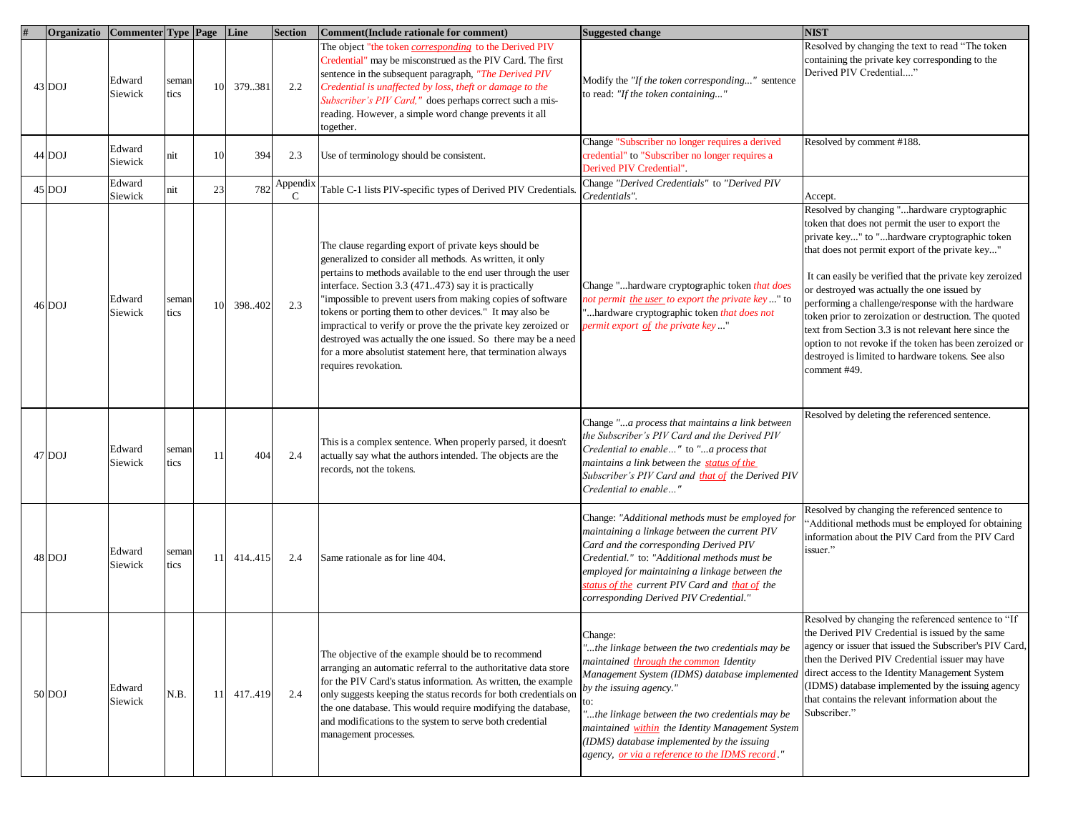| Organizatio Commenter Type Page Line |                   |               |               |         | <b>Section</b> | Comment (Include rationale for comment)                                                                                                                                                                                                                                                                                                                                                                                                                                                                                                                                                             | <b>Suggested change</b>                                                                                                                                                                                                                                                                                                                                                                         | <b>NIST</b>                                                                                                                                                                                                                                                                                                                                                                                                                                                                                                                                                                                                          |
|--------------------------------------|-------------------|---------------|---------------|---------|----------------|-----------------------------------------------------------------------------------------------------------------------------------------------------------------------------------------------------------------------------------------------------------------------------------------------------------------------------------------------------------------------------------------------------------------------------------------------------------------------------------------------------------------------------------------------------------------------------------------------------|-------------------------------------------------------------------------------------------------------------------------------------------------------------------------------------------------------------------------------------------------------------------------------------------------------------------------------------------------------------------------------------------------|----------------------------------------------------------------------------------------------------------------------------------------------------------------------------------------------------------------------------------------------------------------------------------------------------------------------------------------------------------------------------------------------------------------------------------------------------------------------------------------------------------------------------------------------------------------------------------------------------------------------|
| 43 DOJ                               | Edward<br>Siewick | semar<br>tics | 10            | 379.381 | 2.2            | The object "the token <i>corresponding</i> to the Derived PIV<br>Credential" may be misconstrued as the PIV Card. The first<br>sentence in the subsequent paragraph, "The Derived PIV<br>Credential is unaffected by loss, theft or damage to the<br>Subscriber's PIV Card," does perhaps correct such a mis-<br>reading. However, a simple word change prevents it all<br>together.                                                                                                                                                                                                                | Modify the "If the token corresponding" sentence<br>to read: "If the token containing"                                                                                                                                                                                                                                                                                                          | Resolved by changing the text to read "The token<br>containing the private key corresponding to the<br>Derived PIV Credential"                                                                                                                                                                                                                                                                                                                                                                                                                                                                                       |
| 44 DOJ                               | Edward<br>Siewick | nit           | 10            | 394     | 2.3            | Use of terminology should be consistent.                                                                                                                                                                                                                                                                                                                                                                                                                                                                                                                                                            | Change "Subscriber no longer requires a derived<br>credential" to "Subscriber no longer requires a<br>Derived PIV Credential".                                                                                                                                                                                                                                                                  | Resolved by comment #188.                                                                                                                                                                                                                                                                                                                                                                                                                                                                                                                                                                                            |
| 45 DOJ                               | Edward<br>Siewick | nit           | 23            | 782     | Appendix<br>C  | Table C-1 lists PIV-specific types of Derived PIV Credentials.                                                                                                                                                                                                                                                                                                                                                                                                                                                                                                                                      | Change "Derived Credentials" to "Derived PIV<br>Credentials".                                                                                                                                                                                                                                                                                                                                   | Accept.                                                                                                                                                                                                                                                                                                                                                                                                                                                                                                                                                                                                              |
| 46 DOJ                               | Edward<br>Siewick | semar<br>tics | 10            | 398.402 | 2.3            | The clause regarding export of private keys should be<br>generalized to consider all methods. As written, it only<br>pertains to methods available to the end user through the user<br>interface. Section 3.3 (471473) say it is practically<br>"impossible to prevent users from making copies of software<br>tokens or porting them to other devices." It may also be<br>impractical to verify or prove the the private key zeroized or<br>destroyed was actually the one issued. So there may be a need<br>for a more absolutist statement here, that termination always<br>requires revokation. | Change "hardware cryptographic token that does<br>not permit the user to export the private key" to<br>"hardware cryptographic token that does not<br>permit export of the private key"                                                                                                                                                                                                         | Resolved by changing "hardware cryptographic<br>token that does not permit the user to export the<br>private key" to "hardware cryptographic token<br>that does not permit export of the private key"<br>It can easily be verified that the private key zeroized<br>or destroyed was actually the one issued by<br>performing a challenge/response with the hardware<br>token prior to zeroization or destruction. The quoted<br>text from Section 3.3 is not relevant here since the<br>option to not revoke if the token has been zeroized or<br>destroyed is limited to hardware tokens. See also<br>comment #49. |
| 47 DOJ                               | Edward<br>Siewick | semai<br>tics | 11            | 404     | 2.4            | This is a complex sentence. When properly parsed, it doesn't<br>actually say what the authors intended. The objects are the<br>records, not the tokens.                                                                                                                                                                                                                                                                                                                                                                                                                                             | Change "a process that maintains a link between<br>the Subscriber's PIV Card and the Derived PIV<br>Credential to enable" to "a process that<br>maintains a link between the status of the<br>Subscriber's PIV Card and that of the Derived PIV<br>Credential to enable"                                                                                                                        | Resolved by deleting the referenced sentence.                                                                                                                                                                                                                                                                                                                                                                                                                                                                                                                                                                        |
| 48 DOJ                               | Edward<br>Siewick | semar<br>tics | 11            | 414.415 | 2.4            | Same rationale as for line 404.                                                                                                                                                                                                                                                                                                                                                                                                                                                                                                                                                                     | Change: "Additional methods must be employed for<br>maintaining a linkage between the current PIV<br>Card and the corresponding Derived PIV<br>Credential." to: "Additional methods must be<br>employed for maintaining a linkage between the<br>status of the current PIV Card and that of the<br>corresponding Derived PIV Credential."                                                       | Resolved by changing the referenced sentence to<br>"Additional methods must be employed for obtaining<br>information about the PIV Card from the PIV Card<br>issuer."                                                                                                                                                                                                                                                                                                                                                                                                                                                |
| 50 DOJ                               | Edward<br>Siewick | N.B.          | <sup>11</sup> | 417.419 | 2.4            | The objective of the example should be to recommend<br>arranging an automatic referral to the authoritative data store<br>for the PIV Card's status information. As written, the example<br>only suggests keeping the status records for both credentials on<br>the one database. This would require modifying the database,<br>and modifications to the system to serve both credential<br>management processes.                                                                                                                                                                                   | Change:<br>"the linkage between the two credentials may be<br>maintained through the common Identity<br>Management System (IDMS) database implementea<br>by the issuing agency."<br>to:<br>"the linkage between the two credentials may be<br>maintained within the Identity Management System<br>(IDMS) database implemented by the issuing<br>agency, or via a reference to the IDMS record." | Resolved by changing the referenced sentence to "If<br>the Derived PIV Credential is issued by the same<br>agency or issuer that issued the Subscriber's PIV Card,<br>then the Derived PIV Credential issuer may have<br>direct access to the Identity Management System<br>(IDMS) database implemented by the issuing agency<br>that contains the relevant information about the<br>Subscriber."                                                                                                                                                                                                                    |